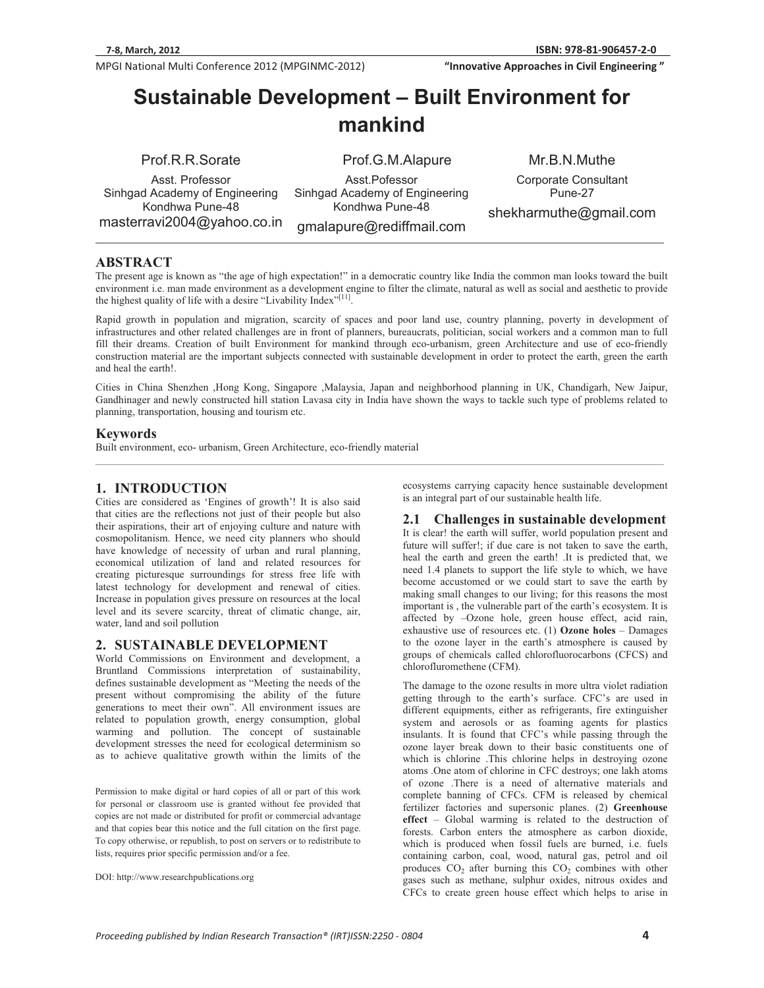-

ֺ

**MPGI National Multi Conference 2012 (MPGINMC-2012) <b>The Conference of Strate Conference** 2012 (MPGINMC-2012)

**Whenevalue approaches in Civil Engineering "InnovativeApproachesinCivilEngineering"**

# **Sustainable Development – Built Environment for mankind**

Prof.R.R.Sorate

Asst. Professor Sinhgad Academy of Engineering Kondhwa Pune-48 masterravi2004@yahoo.co.in Prof.G.M.Alapure

Asst.Pofessor Sinhgad Academy of Engineering Kondhwa Pune-48

gmalapure@rediffmail.com

Mr.B.N.Muthe Corporate Consultant Pune-27

shekharmuthe@gmail.com

## **ABSTRACT**

The present age is known as "the age of high expectation!" in a democratic country like India the common man looks toward the built environment i.e. man made environment as a development engine to filter the climate, natural as well as social and aesthetic to provide the highest quality of life with a desire "Livability Index"[11].

Rapid growth in population and migration, scarcity of spaces and poor land use, country planning, poverty in development of infrastructures and other related challenges are in front of planners, bureaucrats, politician, social workers and a common man to full fill their dreams. Creation of built Environment for mankind through eco-urbanism, green Architecture and use of eco-friendly construction material are the important subjects connected with sustainable development in order to protect the earth, green the earth and heal the earth!.

Cities in China Shenzhen ,Hong Kong, Singapore ,Malaysia, Japan and neighborhood planning in UK, Chandigarh, New Jaipur, Gandhinager and newly constructed hill station Lavasa city in India have shown the ways to tackle such type of problems related to planning, transportation, housing and tourism etc.

#### **Keywords**

Built environment, eco- urbanism, Green Architecture, eco-friendly material

# **1. INTRODUCTION**

Cities are considered as 'Engines of growth'! It is also said that cities are the reflections not just of their people but also their aspirations, their art of enjoying culture and nature with cosmopolitanism. Hence, we need city planners who should have knowledge of necessity of urban and rural planning, economical utilization of land and related resources for creating picturesque surroundings for stress free life with latest technology for development and renewal of cities. Increase in population gives pressure on resources at the local level and its severe scarcity, threat of climatic change, air, water, land and soil pollution

### **2. SUSTAINABLE DEVELOPMENT**

World Commissions on Environment and development, a Bruntland Commissions interpretation of sustainability, defines sustainable development as "Meeting the needs of the present without compromising the ability of the future generations to meet their own". All environment issues are related to population growth, energy consumption, global warming and pollution. The concept of sustainable development stresses the need for ecological determinism so as to achieve qualitative growth within the limits of the

Permission to make digital or hard copies of all or part of this work for personal or classroom use is granted without fee provided that copies are not made or distributed for profit or commercial advantage and that copies bear this notice and the full citation on the first page. To copy otherwise, or republish, to post on servers or to redistribute to lists, requires prior specific permission and/or a fee.

DOI: http://www.researchpublications.org

ecosystems carrying capacity hence sustainable development is an integral part of our sustainable health life.

### **2.1 Challenges in sustainable development**

It is clear! the earth will suffer, world population present and future will suffer!; if due care is not taken to save the earth, heal the earth and green the earth! .It is predicted that, we need 1.4 planets to support the life style to which, we have become accustomed or we could start to save the earth by making small changes to our living; for this reasons the most important is , the vulnerable part of the earth's ecosystem. It is affected by –Ozone hole, green house effect, acid rain, exhaustive use of resources etc. (1) **Ozone holes** – Damages to the ozone layer in the earth's atmosphere is caused by groups of chemicals called chlorofluorocarbons (CFCS) and chlorofluromethene (CFM).

The damage to the ozone results in more ultra violet radiation getting through to the earth's surface. CFC's are used in different equipments, either as refrigerants, fire extinguisher system and aerosols or as foaming agents for plastics insulants. It is found that CFC's while passing through the ozone layer break down to their basic constituents one of which is chlorine .This chlorine helps in destroying ozone atoms .One atom of chlorine in CFC destroys; one lakh atoms of ozone .There is a need of alternative materials and complete banning of CFCs. CFM is released by chemical fertilizer factories and supersonic planes. (2) **Greenhouse effect** – Global warming is related to the destruction of forests. Carbon enters the atmosphere as carbon dioxide, which is produced when fossil fuels are burned, i.e. fuels containing carbon, coal, wood, natural gas, petrol and oil produces  $CO<sub>2</sub>$  after burning this  $CO<sub>2</sub>$  combines with other gases such as methane, sulphur oxides, nitrous oxides and CFCs to create green house effect which helps to arise in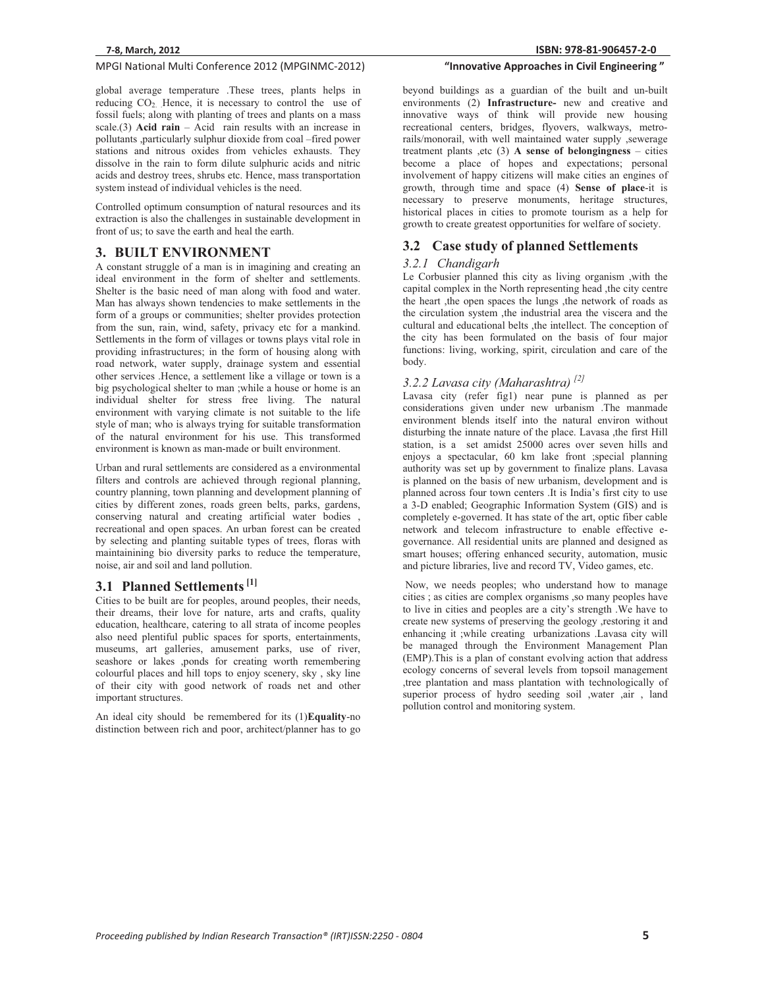# **MPGI National Multi Conference 2012 (MPGINMC-2012) <b>The Conference of Strate Conference** 2012 (MPGINMC-2012)

global average temperature .These trees, plants helps in reducing  $CO<sub>2</sub>$ . Hence, it is necessary to control the use of fossil fuels; along with planting of trees and plants on a mass scale.(3) **Acid rain** – Acid rain results with an increase in pollutants ,particularly sulphur dioxide from coal –fired power stations and nitrous oxides from vehicles exhausts. They dissolve in the rain to form dilute sulphuric acids and nitric acids and destroy trees, shrubs etc. Hence, mass transportation system instead of individual vehicles is the need.

Controlled optimum consumption of natural resources and its extraction is also the challenges in sustainable development in front of us; to save the earth and heal the earth.

#### **3. BUILT ENVIRONMENT**

A constant struggle of a man is in imagining and creating an ideal environment in the form of shelter and settlements. Shelter is the basic need of man along with food and water. Man has always shown tendencies to make settlements in the form of a groups or communities; shelter provides protection from the sun, rain, wind, safety, privacy etc for a mankind. Settlements in the form of villages or towns plays vital role in providing infrastructures; in the form of housing along with road network, water supply, drainage system and essential other services .Hence, a settlement like a village or town is a big psychological shelter to man ;while a house or home is an individual shelter for stress free living. The natural environment with varying climate is not suitable to the life style of man; who is always trying for suitable transformation of the natural environment for his use. This transformed environment is known as man-made or built environment.

Urban and rural settlements are considered as a environmental filters and controls are achieved through regional planning, country planning, town planning and development planning of cities by different zones, roads green belts, parks, gardens, conserving natural and creating artificial water bodies , recreational and open spaces. An urban forest can be created by selecting and planting suitable types of trees, floras with maintainining bio diversity parks to reduce the temperature, noise, air and soil and land pollution.

# **3.1 Planned Settlements [1]**

Cities to be built are for peoples, around peoples, their needs, their dreams, their love for nature, arts and crafts, quality education, healthcare, catering to all strata of income peoples also need plentiful public spaces for sports, entertainments, museums, art galleries, amusement parks, use of river, seashore or lakes ,ponds for creating worth remembering colourful places and hill tops to enjoy scenery, sky , sky line of their city with good network of roads net and other important structures.

An ideal city should be remembered for its (1)**Equality**-no distinction between rich and poor, architect/planner has to go

# **"InnovativeApproachesinCivilEngineering"**

beyond buildings as a guardian of the built and un-built environments (2) **Infrastructure-** new and creative and innovative ways of think will provide new housing recreational centers, bridges, flyovers, walkways, metrorails/monorail, with well maintained water supply ,sewerage treatment plants ,etc (3) **A sense of belongingness** – cities become a place of hopes and expectations; personal involvement of happy citizens will make cities an engines of growth, through time and space (4) **Sense of place**-it is necessary to preserve monuments, heritage structures, historical places in cities to promote tourism as a help for growth to create greatest opportunities for welfare of society.

# **3.2 Case study of planned Settlements**

#### *3.2.1 Chandigarh*

Le Corbusier planned this city as living organism ,with the capital complex in the North representing head ,the city centre the heart , the open spaces the lungs , the network of roads as the circulation system ,the industrial area the viscera and the cultural and educational belts , the intellect. The conception of the city has been formulated on the basis of four major functions: living, working, spirit, circulation and care of the body.

# *3.2.2 Lavasa city (Maharashtra) [2]*

Lavasa city (refer fig1) near pune is planned as per considerations given under new urbanism .The manmade environment blends itself into the natural environ without disturbing the innate nature of the place. Lavasa ,the first Hill station, is a set amidst 25000 acres over seven hills and enjoys a spectacular, 60 km lake front ;special planning authority was set up by government to finalize plans. Lavasa is planned on the basis of new urbanism, development and is planned across four town centers .It is India's first city to use a 3-D enabled; Geographic Information System (GIS) and is completely e-governed. It has state of the art, optic fiber cable network and telecom infrastructure to enable effective egovernance. All residential units are planned and designed as smart houses; offering enhanced security, automation, music and picture libraries, live and record TV, Video games, etc.

 Now, we needs peoples; who understand how to manage cities ; as cities are complex organisms ,so many peoples have to live in cities and peoples are a city's strength .We have to create new systems of preserving the geology ,restoring it and enhancing it ;while creating urbanizations .Lavasa city will be managed through the Environment Management Plan (EMP).This is a plan of constant evolving action that address ecology concerns of several levels from topsoil management ,tree plantation and mass plantation with technologically of superior process of hydro seeding soil ,water ,air , land pollution control and monitoring system.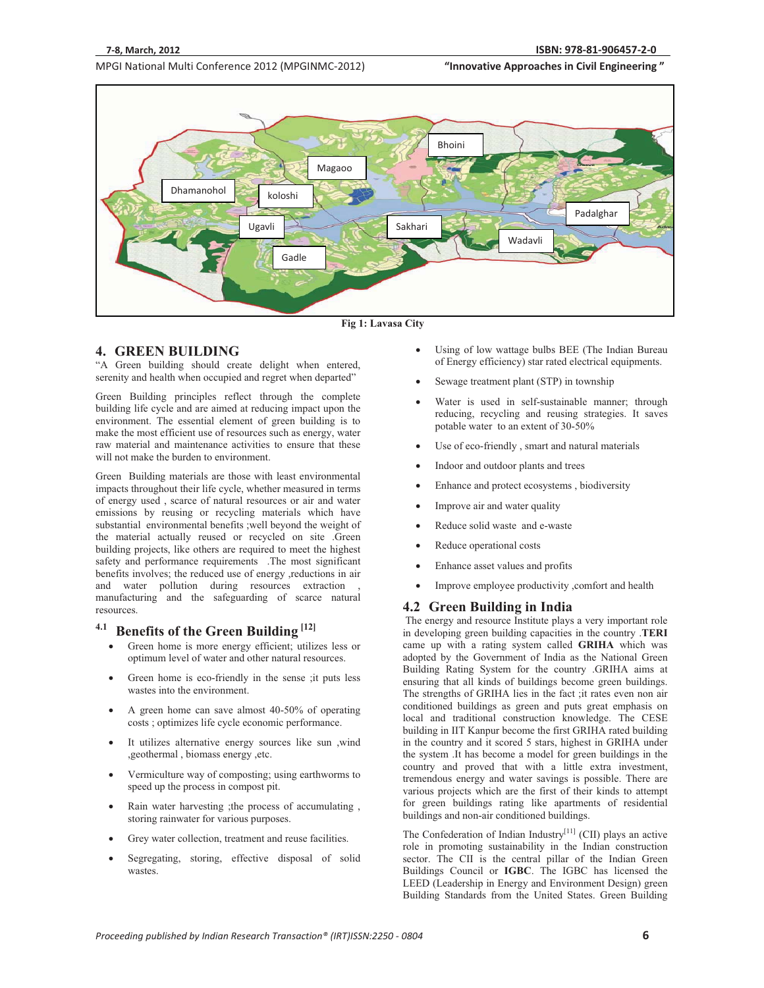-

**MPGI National Multi Conference 2012 (MPGINMC-2012) <b>The Conference of Strate Conference** 2012 (MPGINMC-2012)





# **4. GREEN BUILDING**

"A Green building should create delight when entered, serenity and health when occupied and regret when departed"

Green Building principles reflect through the complete building life cycle and are aimed at reducing impact upon the environment. The essential element of green building is to make the most efficient use of resources such as energy, water raw material and maintenance activities to ensure that these will not make the burden to environment.

Green Building materials are those with least environmental impacts throughout their life cycle, whether measured in terms of energy used , scarce of natural resources or air and water emissions by reusing or recycling materials which have substantial environmental benefits ;well beyond the weight of the material actually reused or recycled on site .Green building projects, like others are required to meet the highest safety and performance requirements .The most significant benefits involves; the reduced use of energy , reductions in air and water pollution during resources extraction manufacturing and the safeguarding of scarce natural resources.

# **4.1 Benefits of the Green Building [12]**

- $\bullet$  Green home is more energy efficient; utilizes less or optimum level of water and other natural resources.
- - Green home is eco-friendly in the sense ;it puts less wastes into the environment.
- - A green home can save almost 40-50% of operating costs ; optimizes life cycle economic performance.
- - It utilizes alternative energy sources like sun ,wind ,geothermal , biomass energy ,etc.
- - Vermiculture way of composting; using earthworms to speed up the process in compost pit.
- - Rain water harvesting ;the process of accumulating , storing rainwater for various purposes.
- -Grey water collection, treatment and reuse facilities.
- - Segregating, storing, effective disposal of solid wastes.
- - Using of low wattage bulbs BEE (The Indian Bureau of Energy efficiency) star rated electrical equipments.
- -Sewage treatment plant (STP) in township
- - Water is used in self-sustainable manner; through reducing, recycling and reusing strategies. It saves potable water to an extent of 30-50%
- -Use of eco-friendly , smart and natural materials
- -Indoor and outdoor plants and trees
- -Enhance and protect ecosystems , biodiversity
- -Improve air and water quality
- -Reduce solid waste and e-waste
- -Reduce operational costs
- -Enhance asset values and profits
- -Improve employee productivity ,comfort and health

# **4.2 Green Building in India**

 The energy and resource Institute plays a very important role in developing green building capacities in the country .**TERI**  came up with a rating system called **GRIHA** which was adopted by the Government of India as the National Green Building Rating System for the country .GRIHA aims at ensuring that all kinds of buildings become green buildings. The strengths of GRIHA lies in the fact ;it rates even non air conditioned buildings as green and puts great emphasis on local and traditional construction knowledge. The CESE building in IIT Kanpur become the first GRIHA rated building in the country and it scored 5 stars, highest in GRIHA under the system .It has become a model for green buildings in the country and proved that with a little extra investment, tremendous energy and water savings is possible. There are various projects which are the first of their kinds to attempt for green buildings rating like apartments of residential buildings and non-air conditioned buildings.

The Confederation of Indian Industry<sup>[11]</sup> (CII) plays an active role in promoting sustainability in the Indian construction sector. The CII is the central pillar of the Indian Green Buildings Council or **IGBC**. The IGBC has licensed the LEED (Leadership in Energy and Environment Design) green Building Standards from the United States. Green Building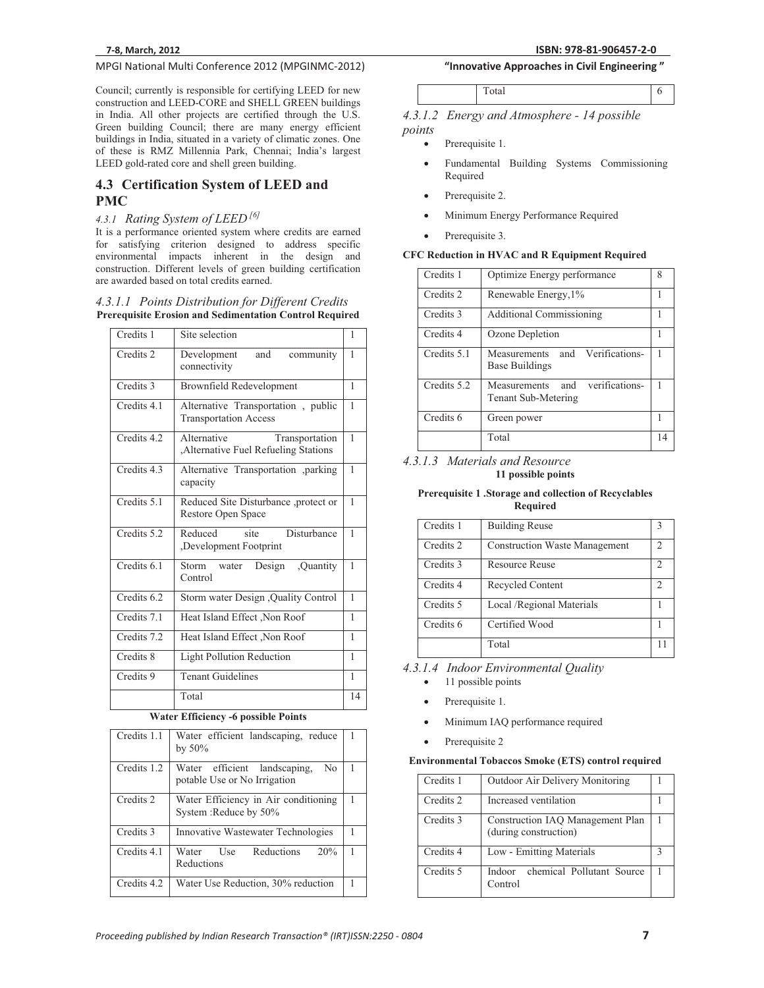# **MPGI National Multi Conference 2012 (MPGINMC-2012) <b>The Conference of Strate Conference** 2012 (MPGINMC-2012)

Council; currently is responsible for certifying LEED for new construction and LEED-CORE and SHELL GREEN buildings in India. All other projects are certified through the U.S. Green building Council; there are many energy efficient buildings in India, situated in a variety of climatic zones. One of these is RMZ Millennia Park, Chennai; India's largest LEED gold-rated core and shell green building.

# **4.3 Certification System of LEED and PMC**

# *4.3.1 Rating System of LEED [6]*

It is a performance oriented system where credits are earned for satisfying criterion designed to address specific environmental impacts inherent in the design and construction. Different levels of green building certification are awarded based on total credits earned.

#### *4.3.1.1 Points Distribution for Different Credits*  **Prerequisite Erosion and Sedimentation Control Required**

| Credits 1   | Site selection                                                       | 1  |
|-------------|----------------------------------------------------------------------|----|
| Credits 2   | and<br>Development<br>community<br>connectivity                      | 1  |
| Credits 3   | <b>Brownfield Redevelopment</b>                                      | 1  |
| Credits 4.1 | Alternative Transportation, public<br><b>Transportation Access</b>   | 1  |
| Credits 4.2 | Alternative<br>Transportation<br>Alternative Fuel Refueling Stations | 1  |
| Credits 4.3 | Alternative Transportation ,parking<br>capacity                      | 1  |
| Credits 5.1 | Reduced Site Disturbance ,protect or<br>Restore Open Space           | 1  |
| Credits 5.2 | Reduced<br>site<br>Disturbance<br>Development Footprint              | 1  |
| Credits 6.1 | Storm water Design<br>,Quantity<br>Control                           | 1  |
| Credits 6.2 | Storm water Design , Quality Control                                 | 1  |
| Credits 7.1 | Heat Island Effect , Non Roof                                        | 1  |
| Credits 7.2 | Heat Island Effect, Non Roof                                         | 1  |
| Credits 8   | <b>Light Pollution Reduction</b>                                     |    |
| Credits 9   | <b>Tenant Guidelines</b>                                             | 1  |
|             | Total                                                                | 14 |

#### **Water Efficiency -6 possible Points**

| Credits 1.1 | Water efficient landscaping, reduce<br>by $50\%$                    |  |
|-------------|---------------------------------------------------------------------|--|
| Credits 1.2 | Water efficient landscaping,<br>No.<br>potable Use or No Irrigation |  |
| Credits 2   | Water Efficiency in Air conditioning<br>System: Reduce by 50%       |  |
| Credits 3   | Innovative Wastewater Technologies                                  |  |
| Credits 4.1 | Reductions<br>20%<br>Water Use<br>Reductions                        |  |
| Credits 4.2 | Water Use Reduction, 30% reduction                                  |  |

# **Whenevalue approaches in Civil Engineering "InnovativeApproachesinCivilEngineering"**

*4.3.1.2 Energy and Atmosphere - 14 possible points* 

- -Prerequisite 1.
- - Fundamental Building Systems Commissioning Required
- -Prerequisite 2.
- -Minimum Energy Performance Required
- -Prerequisite 3.

#### **CFC Reduction in HVAC and R Equipment Required**

| Credits 1   | Optimize Energy performance                                  | 8  |
|-------------|--------------------------------------------------------------|----|
| Credits 2   | Renewable Energy, 1%                                         |    |
| Credits 3   | <b>Additional Commissioning</b>                              |    |
| Credits 4   | Ozone Depletion                                              |    |
| Credits 5.1 | and Verifications-<br>Measurements<br><b>Base Buildings</b>  |    |
| Credits 5.2 | verifications-<br>and<br>Measurements<br>Tenant Sub-Metering |    |
| Credits 6   | Green power                                                  |    |
|             | Total                                                        | 14 |

#### *4.3.1.3 Materials and Resource*  **11 possible points**

#### **Prerequisite 1 .Storage and collection of Recyclables Required**

| Credits 1 | <b>Building Reuse</b>                |                |
|-----------|--------------------------------------|----------------|
| Credits 2 | <b>Construction Waste Management</b> | 2              |
| Credits 3 | Resource Reuse                       | 2              |
| Credits 4 | Recycled Content                     | $\mathfrak{D}$ |
| Credits 5 | Local /Regional Materials            |                |
| Credits 6 | Certified Wood                       |                |
|           | Total                                |                |

#### *4.3.1.4 Indoor Environmental Quality*

- -11 possible points
- -Prerequisite 1.
- -Minimum IAQ performance required
- -Prerequisite 2

#### **Environmental Tobaccos Smoke (ETS) control required**

| Credits 1 | <b>Outdoor Air Delivery Monitoring</b>                    |   |
|-----------|-----------------------------------------------------------|---|
| Credits 2 | Increased ventilation                                     |   |
| Credits 3 | Construction IAQ Management Plan<br>(during construction) |   |
| Credits 4 | Low - Emitting Materials                                  | з |
| Credits 5 | chemical Pollutant Source<br>Indoor<br>Control            |   |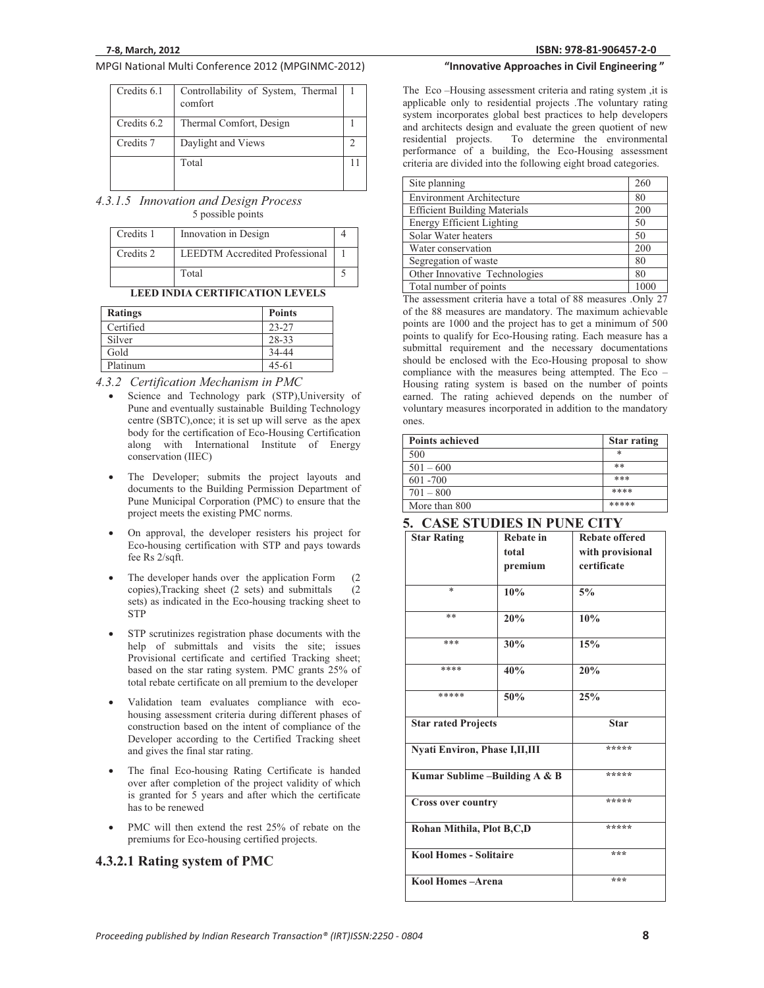# **MPGI National Multi Conference 2012 (MPGINMC-2012) <b>The Conference of Strate Conference** 2012 (MPGINMC-2012)

| Credits 6.1 | Controllability of System, Thermal<br>comfort |  |
|-------------|-----------------------------------------------|--|
| Credits 6.2 | Thermal Comfort, Design                       |  |
| Credits 7   | Daylight and Views                            |  |
|             | Total                                         |  |

*4.3.1.5 Innovation and Design Process*  5 possible points

| Credits 1 | Innovation in Design                  |  |
|-----------|---------------------------------------|--|
| Credits 2 | <b>LEEDTM</b> Accredited Professional |  |
|           | Total                                 |  |

#### **LEED INDIA CERTIFICATION LEVELS**

| <b>Ratings</b> | <b>Points</b> |
|----------------|---------------|
| Certified      | $23 - 27$     |
| Silver         | 28-33         |
| Gold           | 34-44         |
| Platinum       | $45 - 61$     |

*4.3.2 Certification Mechanism in PMC* 

- - Science and Technology park (STP),University of Pune and eventually sustainable Building Technology centre (SBTC),once; it is set up will serve as the apex body for the certification of Eco-Housing Certification along with International Institute of Energy conservation (IIEC)
- - The Developer; submits the project layouts and documents to the Building Permission Department of Pune Municipal Corporation (PMC) to ensure that the project meets the existing PMC norms.
- - On approval, the developer resisters his project for Eco-housing certification with STP and pays towards fee Rs 2/sqft.
- -The developer hands over the application Form (2) copies),Tracking sheet (2 sets) and submittals (2 sets) as indicated in the Eco-housing tracking sheet to STP
- - STP scrutinizes registration phase documents with the help of submittals and visits the site; issues Provisional certificate and certified Tracking sheet; based on the star rating system. PMC grants 25% of total rebate certificate on all premium to the developer
- - Validation team evaluates compliance with ecohousing assessment criteria during different phases of construction based on the intent of compliance of the Developer according to the Certified Tracking sheet and gives the final star rating.
- - The final Eco-housing Rating Certificate is handed over after completion of the project validity of which is granted for 5 years and after which the certificate has to be renewed
- - PMC will then extend the rest 25% of rebate on the premiums for Eco-housing certified projects.

# **4.3.2.1 Rating system of PMC**

# **81-906457-2-0 "InnovativeApproachesinCivilEngineering"**

The Eco –Housing assessment criteria and rating system ,it is applicable only to residential projects .The voluntary rating system incorporates global best practices to help developers and architects design and evaluate the green quotient of new<br>residential projects. To determine the environmental To determine the environmental performance of a building, the Eco-Housing assessment criteria are divided into the following eight broad categories.

| Site planning                       | 260 |
|-------------------------------------|-----|
| <b>Environment Architecture</b>     | 80  |
| <b>Efficient Building Materials</b> | 200 |
| <b>Energy Efficient Lighting</b>    | 50  |
| Solar Water heaters                 | 50  |
| Water conservation                  | 200 |
| Segregation of waste                | 80  |
| Other Innovative Technologies       | 80  |
| Total number of points              |     |

The assessment criteria have a total of 88 measures .Only 27 of the 88 measures are mandatory. The maximum achievable points are 1000 and the project has to get a minimum of 500 points to qualify for Eco-Housing rating. Each measure has a submittal requirement and the necessary documentations should be enclosed with the Eco-Housing proposal to show compliance with the measures being attempted. The Eco – Housing rating system is based on the number of points earned. The rating achieved depends on the number of voluntary measures incorporated in addition to the mandatory ones.

| <b>Points achieved</b> | <b>Star rating</b> |
|------------------------|--------------------|
| 500                    | *                  |
| $501 - 600$            | **                 |
| $601 - 700$            | ***                |
| $701 - 800$            | ****               |
| More than 800          | *****              |

# **5. CASE STUDIES IN PUNE CITY**

| <b>Star Rating</b>                   | <b>Rebate</b> in | <b>Rebate offered</b> |
|--------------------------------------|------------------|-----------------------|
|                                      | total            | with provisional      |
|                                      | premium          | certificate           |
|                                      |                  |                       |
| $*$                                  | 10%              | $5\%$                 |
|                                      |                  |                       |
| **                                   | 20%              | 10%                   |
|                                      |                  |                       |
| ***                                  | 30%              | 15%                   |
|                                      |                  |                       |
| ****                                 | 40%              | 20%                   |
|                                      |                  |                       |
| *****                                | 50%              | 25%                   |
|                                      |                  |                       |
| <b>Star rated Projects</b>           |                  | <b>Star</b>           |
|                                      |                  |                       |
| <b>Nyati Environ, Phase I,II,III</b> |                  | *****                 |
|                                      |                  |                       |
| Kumar Sublime -Building A & B        |                  | *****                 |
|                                      |                  | *****                 |
| <b>Cross over country</b>            |                  |                       |
|                                      |                  | *****                 |
| Rohan Mithila, Plot B,C,D            |                  |                       |
|                                      |                  | ***                   |
|                                      |                  |                       |
| <b>Kool Homes - Solitaire</b>        |                  |                       |
|                                      |                  |                       |
| Kool Homes-Arena                     |                  | ***                   |